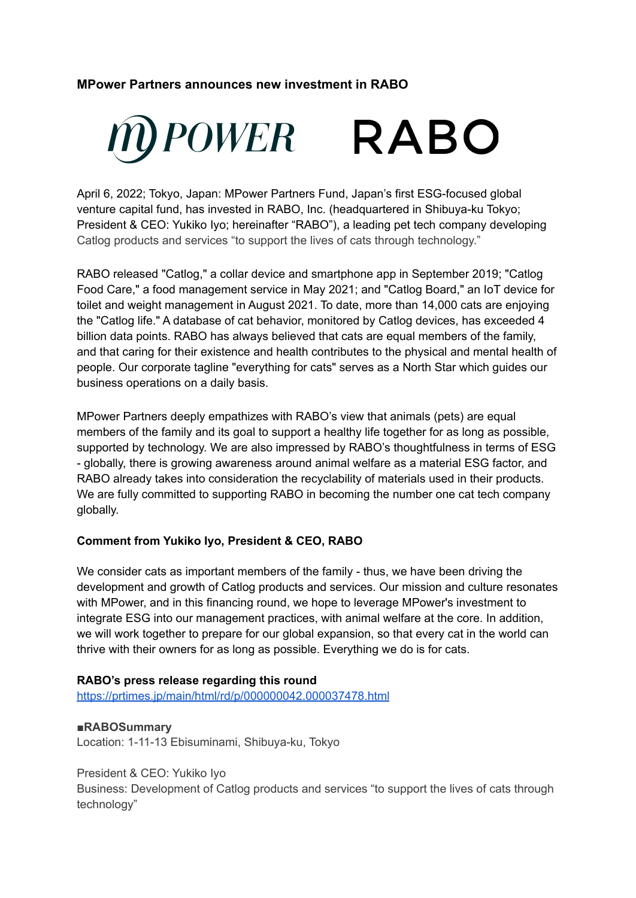# **MPower Partners announces new investment in RABO**



April 6, 2022; Tokyo, Japan: MPower Partners Fund, Japan's first ESG-focused global venture capital fund, has invested in RABO, Inc. (headquartered in Shibuya-ku Tokyo; President & CEO: Yukiko Iyo; hereinafter "RABO"), a leading pet tech company developing Catlog products and services "to support the lives of cats through technology."

RABO released "Catlog," a collar device and smartphone app in September 2019; "Catlog Food Care," a food management service in May 2021; and "Catlog Board," an IoT device for toilet and weight management in August 2021. To date, more than 14,000 cats are enjoying the "Catlog life." A database of cat behavior, monitored by Catlog devices, has exceeded 4 billion data points. RABO has always believed that cats are equal members of the family, and that caring for their existence and health contributes to the physical and mental health of people. Our corporate tagline "everything for cats" serves as a North Star which guides our business operations on a daily basis.

MPower Partners deeply empathizes with RABO's view that animals (pets) are equal members of the family and its goal to support a healthy life together for as long as possible, supported by technology. We are also impressed by RABO's thoughtfulness in terms of ESG - globally, there is growing awareness around animal welfare as a material ESG factor, and RABO already takes into consideration the recyclability of materials used in their products. We are fully committed to supporting RABO in becoming the number one cat tech company globally.

### **Comment from Yukiko Iyo, President & CEO, RABO**

We consider cats as important members of the family - thus, we have been driving the development and growth of Catlog products and services. Our mission and culture resonates with MPower, and in this financing round, we hope to leverage MPower's investment to integrate ESG into our management practices, with animal welfare at the core. In addition, we will work together to prepare for our global expansion, so that every cat in the world can thrive with their owners for as long as possible. Everything we do is for cats.

### **RABO's press release regarding this round**

<https://prtimes.jp/main/html/rd/p/000000042.000037478.html>

#### **■RABOSummary**

Location: 1-11-13 Ebisuminami, Shibuya-ku, Tokyo

#### President & CEO: Yukiko Iyo

Business: Development of Catlog products and services "to support the lives of cats through technology"